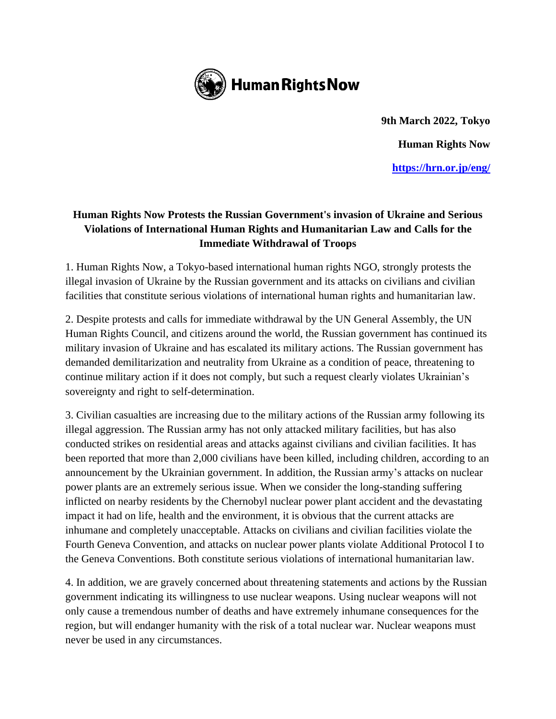

**9th March 2022, Tokyo Human Rights Now <https://hrn.or.jp/eng/>**

## **Human Rights Now Protests the Russian Government's invasion of Ukraine and Serious Violations of International Human Rights and Humanitarian Law and Calls for the Immediate Withdrawal of Troops**

1. Human Rights Now, a Tokyo-based international human rights NGO, strongly protests the illegal invasion of Ukraine by the Russian government and its attacks on civilians and civilian facilities that constitute serious violations of international human rights and humanitarian law.

2. Despite protests and calls for immediate withdrawal by the UN General Assembly, the UN Human Rights Council, and citizens around the world, the Russian government has continued its military invasion of Ukraine and has escalated its military actions. The Russian government has demanded demilitarization and neutrality from Ukraine as a condition of peace, threatening to continue military action if it does not comply, but such a request clearly violates Ukrainian's sovereignty and right to self-determination.

3. Civilian casualties are increasing due to the military actions of the Russian army following its illegal aggression. The Russian army has not only attacked military facilities, but has also conducted strikes on residential areas and attacks against civilians and civilian facilities. It has been reported that more than 2,000 civilians have been killed, including children, according to an announcement by the Ukrainian government. In addition, the Russian army's attacks on nuclear power plants are an extremely serious issue. When we consider the long-standing suffering inflicted on nearby residents by the Chernobyl nuclear power plant accident and the devastating impact it had on life, health and the environment, it is obvious that the current attacks are inhumane and completely unacceptable. Attacks on civilians and civilian facilities violate the Fourth Geneva Convention, and attacks on nuclear power plants violate Additional Protocol I to the Geneva Conventions. Both constitute serious violations of international humanitarian law.

4. In addition, we are gravely concerned about threatening statements and actions by the Russian government indicating its willingness to use nuclear weapons. Using nuclear weapons will not only cause a tremendous number of deaths and have extremely inhumane consequences for the region, but will endanger humanity with the risk of a total nuclear war. Nuclear weapons must never be used in any circumstances.